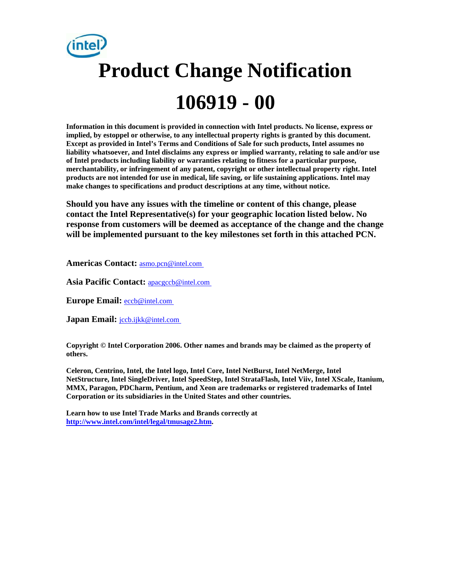# **Product Change Notification 106919 - 00**

**Information in this document is provided in connection with Intel products. No license, express or implied, by estoppel or otherwise, to any intellectual property rights is granted by this document. Except as provided in Intel's Terms and Conditions of Sale for such products, Intel assumes no liability whatsoever, and Intel disclaims any express or implied warranty, relating to sale and/or use of Intel products including liability or warranties relating to fitness for a particular purpose, merchantability, or infringement of any patent, copyright or other intellectual property right. Intel products are not intended for use in medical, life saving, or life sustaining applications. Intel may make changes to specifications and product descriptions at any time, without notice.** 

**Should you have any issues with the timeline or content of this change, please contact the Intel Representative(s) for your geographic location listed below. No response from customers will be deemed as acceptance of the change and the change will be implemented pursuant to the key milestones set forth in this attached PCN.** 

**Americas Contact:** [asmo.pcn@intel.com](mailto:asmo.pcn@intel.com) 

**Asia Pacific Contact:** [apacgccb@intel.com](mailto:apacgccb@intel.com) 

**Europe Email:** [eccb@intel.com](mailto:eccb@intel.com) 

**Japan Email: jccb.ijkk@intel.com** 

**Copyright © Intel Corporation 2006. Other names and brands may be claimed as the property of others.**

**Celeron, Centrino, Intel, the Intel logo, Intel Core, Intel NetBurst, Intel NetMerge, Intel NetStructure, Intel SingleDriver, Intel SpeedStep, Intel StrataFlash, Intel Viiv, Intel XScale, Itanium, MMX, Paragon, PDCharm, Pentium, and Xeon are trademarks or registered trademarks of Intel Corporation or its subsidiaries in the United States and other countries.** 

**Learn how to use Intel Trade Marks and Brands correctly at [http://www.intel.com/intel/legal/tmusage2.htm.](http://www.intel.com/intel/legal/tmusage2.htm)**